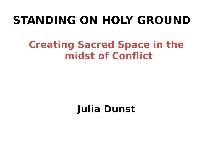# **STANDING ON HOLY GROUND**

### **Creating Sacred Space in the midst of Conflict**

### **Julia Dunst**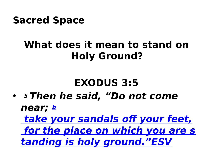

### **What does it mean to stand on Holy Ground?**

### **EXODUS 3:5**

• **<sup>5</sup>Then he said, "Do not come near; [b](http://biblia.com/bible/esv/Exod%203.5)**

 **[take your sandals off your feet,](http://biblia.com/bible/esv/Exod%203.5)  [for the place on which you are s](http://biblia.com/bible/esv/Exod%203.5) [tanding is holy ground."ESV](http://biblia.com/bible/esv/Exod%203.5)**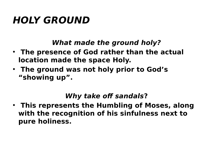### **HOLY GROUND**

#### **What made the ground holy?**

- **The presence of God rather than the actual location made the space Holy.**
- **The ground was not holy prior to God's "showing up".**

#### **Why take off sandals?**

• **This represents the Humbling of Moses, along with the recognition of his sinfulness next to pure holiness.**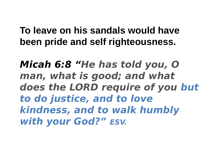#### **To leave on his sandals would have been pride and self righteousness.**

**Micah 6:8 "He has told you, O man, what is good; and what does the LORD require of you but to do justice, and to love kindness, and to walk humbly with your God?" ESV.**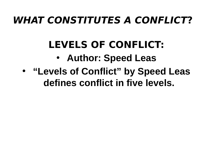### **WHAT CONSTITUTES A CONFLICT?**

# **LEVELS OF CONFLICT:**

- **Author: Speed Leas**
- • **"Levels of Conflict" by Speed Leas defines conflict in five levels.**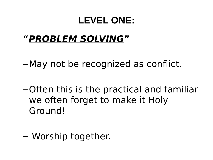#### **LEVEL ONE:**

### **"PROBLEM SOLVING"**

– May not be recognized as conflict.

–Often this is the practical and familiar we often forget to make it Holy Ground!

– Worship together.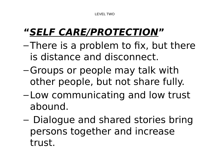LEVEL TWO

### **"SELF CARE/PROTECTION"**

- –There is a problem to fix, but there is distance and disconnect.
- –Groups or people may talk with other people, but not share fully.
- Low communicating and low trust abound.
- Dialogue and shared stories bring persons together and increase trust.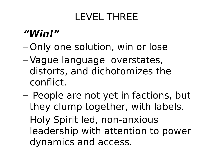### LEVEL THREE

#### **"Win!"**

- –Only one solution, win or lose
- –Vague language overstates, distorts, and dichotomizes the conflict.
- People are not yet in factions, but they clump together, with labels.
- –Holy Spirit led, non-anxious leadership with attention to power dynamics and access.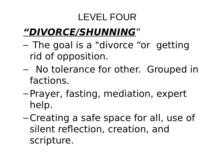### LEVEL FOUR

### **"DIVORCE/SHUNNING**"

- The goal is a "divorce "or getting rid of opposition.
- No tolerance for other. Grouped in factions.
- –Prayer, fasting, mediation, expert help.
- –Creating a safe space for all, use of silent reflection, creation, and scripture.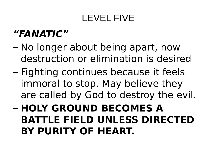#### LEVEL FIVE

### **"FANATIC"**

- No longer about being apart, now destruction or elimination is desired
- Fighting continues because it feels immoral to stop. May believe they are called by God to destroy the evil.
- **HOLY GROUND BECOMES A BATTLE FIELD UNLESS DIRECTED BY PURITY OF HEART.**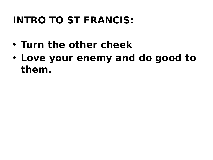### **INTRO TO ST FRANCIS:**

- **Turn the other cheek**
- **Love your enemy and do good to them.**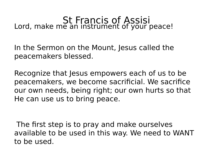# St Francis of Assisi Lord, make me an instrument of your peace!

In the Sermon on the Mount, Jesus called the peacemakers blessed.

Recognize that Jesus empowers each of us to be peacemakers, we become sacrificial. We sacrifice our own needs, being right; our own hurts so that He can use us to bring peace.

The first step is to pray and make ourselves available to be used in this way. We need to WANT to be used.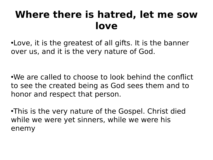### **Where there is hatred, let me sow love**

•Love, it is the greatest of all gifts. It is the banner over us, and it is the very nature of God.

•We are called to choose to look behind the conflict to see the created being as God sees them and to honor and respect that person.

•This is the very nature of the Gospel. Christ died while we were yet sinners, while we were his enemy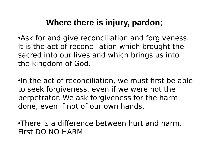#### **Where there is injury, pardon**;

•Ask for and give reconciliation and forgiveness. It is the act of reconciliation which brought the sacred into our lives and which brings us into the kingdom of God.

•In the act of reconciliation, we must first be able to seek forgiveness, even if we were not the perpetrator. We ask forgiveness for the harm done, even if not of our own hands.

•There is a difference between hurt and harm. First DO NO HARM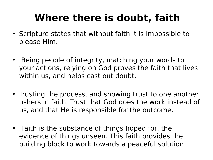### **Where there is doubt, faith**

- Scripture states that without faith it is impossible to please Him.
- Being people of integrity, matching your words to your actions, relying on God proves the faith that lives within us, and helps cast out doubt.
- Trusting the process, and showing trust to one another ushers in faith. Trust that God does the work instead of us, and that He is responsible for the outcome.
- Faith is the substance of things hoped for, the evidence of things unseen. This faith provides the building block to work towards a peaceful solution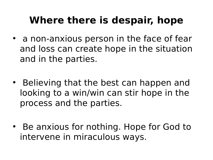### **Where there is despair, hope**

- a non-anxious person in the face of fear and loss can create hope in the situation and in the parties.
- Believing that the best can happen and looking to a win/win can stir hope in the process and the parties.
- Be anxious for nothing. Hope for God to intervene in miraculous ways.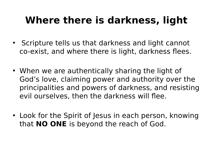## **Where there is darkness, light**

- Scripture tells us that darkness and light cannot co-exist, and where there is light, darkness flees.
- When we are authentically sharing the light of God's love, claiming power and authority over the principalities and powers of darkness, and resisting evil ourselves, then the darkness will flee.
- Look for the Spirit of Jesus in each person, knowing that **NO ONE** is beyond the reach of God.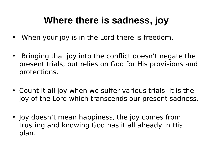#### **Where there is sadness, joy**

- When your joy is in the Lord there is freedom.
- Bringing that joy into the conflict doesn't negate the present trials, but relies on God for His provisions and protections.
- Count it all joy when we suffer various trials. It is the joy of the Lord which transcends our present sadness.
- Joy doesn't mean happiness, the joy comes from trusting and knowing God has it all already in His plan.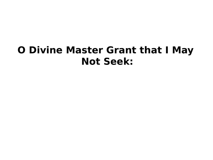### **O Divine Master Grant that I May Not Seek:**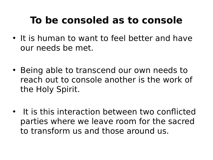## **To be consoled as to console**

- It is human to want to feel better and have our needs be met.
- Being able to transcend our own needs to reach out to console another is the work of the Holy Spirit.
- It is this interaction between two conflicted parties where we leave room for the sacred to transform us and those around us.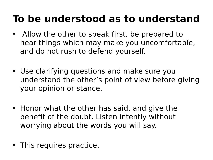### **To be understood as to understand**

- Allow the other to speak first, be prepared to hear things which may make you uncomfortable, and do not rush to defend yourself.
- Use clarifying questions and make sure you understand the other's point of view before giving your opinion or stance.
- Honor what the other has said, and give the benefit of the doubt. Listen intently without worrying about the words you will say.
- This requires practice.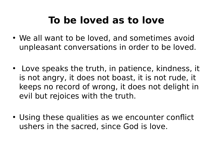## **To be loved as to love**

- We all want to be loved, and sometimes avoid unpleasant conversations in order to be loved.
- Love speaks the truth, in patience, kindness, it is not angry, it does not boast, it is not rude, it keeps no record of wrong, it does not delight in evil but rejoices with the truth.
- Using these qualities as we encounter conflict ushers in the sacred, since God is love.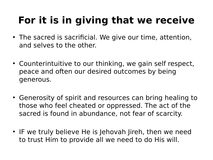# **For it is in giving that we receive**

- The sacred is sacrificial. We give our time, attention, and selves to the other.
- Counterintuitive to our thinking, we gain self respect, peace and often our desired outcomes by being generous.
- Generosity of spirit and resources can bring healing to those who feel cheated or oppressed. The act of the sacred is found in abundance, not fear of scarcity.
- IF we truly believe He is Jehovah Jireh, then we need to trust Him to provide all we need to do His will.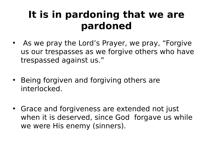### **It is in pardoning that we are pardoned**

- As we pray the Lord's Prayer, we pray, "Forgive us our trespasses as we forgive others who have trespassed against us."
- Being forgiven and forgiving others are interlocked.
- Grace and forgiveness are extended not just when it is deserved, since God forgave us while we were His enemy (sinners).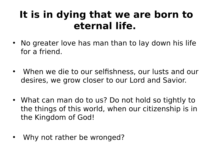### **It is in dying that we are born to eternal life.**

- No greater love has man than to lay down his life for a friend.
- When we die to our selfishness, our lusts and our desires, we grow closer to our Lord and Savior.
- What can man do to us? Do not hold so tightly to the things of this world, when our citizenship is in the Kingdom of God!
- Why not rather be wronged?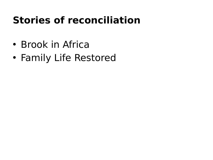### **Stories of reconciliation**

- Brook in Africa
- Family Life Restored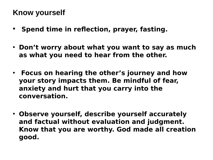#### **Know yourself**

- **Spend time in reflection, prayer, fasting.**
- **Don't worry about what you want to say as much as what you need to hear from the other.**
- **Focus on hearing the other's journey and how your story impacts them. Be mindful of fear, anxiety and hurt that you carry into the conversation.**
- **Observe yourself, describe yourself accurately and factual without evaluation and judgment. Know that you are worthy. God made all creation good.**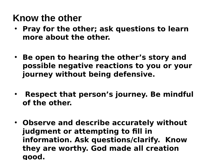#### **Know the other**

- **Pray for the other; ask questions to learn more about the other.**
- **Be open to hearing the other's story and possible negative reactions to you or your journey without being defensive.**
- **Respect that person's journey. Be mindful of the other.**
- **Observe and describe accurately without judgment or attempting to fill in information. Ask questions/clarify. Know they are worthy. God made all creation good.**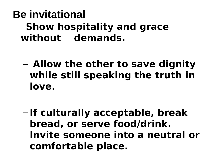### **Be invitational Show hospitality and grace without demands.**

- **Allow the other to save dignity while still speaking the truth in love.**
- **If culturally acceptable, break bread, or serve food/drink. Invite someone into a neutral or comfortable place.**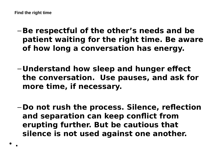- –**Be respectful of the other's needs and be patient waiting for the right time. Be aware of how long a conversation has energy.**
- **Understand how sleep and hunger effect the conversation. Use pauses, and ask for more time, if necessary.**
- **Do not rush the process. Silence, reflection and separation can keep conflict from erupting further. But be cautious that silence is not used against one another.**

**.**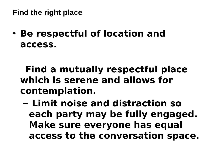**Find the right place**

• **Be respectful of location and access.** 

 **Find a mutually respectful place which is serene and allows for contemplation.**

– **Limit noise and distraction so each party may be fully engaged. Make sure everyone has equal access to the conversation space.**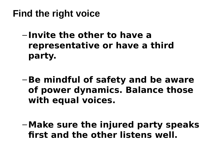**Find the right voice**

- **Invite the other to have a representative or have a third party.**
- –**Be mindful of safety and be aware of power dynamics. Balance those with equal voices.**
- –**Make sure the injured party speaks first and the other listens well.**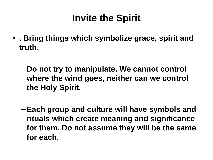### **Invite the Spirit**

- **. Bring things which symbolize grace, spirit and truth.** 
	- **Do not try to manipulate. We cannot control where the wind goes, neither can we control the Holy Spirit.**
	- –**Each group and culture will have symbols and rituals which create meaning and significance for them. Do not assume they will be the same for each.**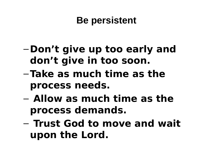#### **Be persistent**

- **Don't give up too early and don't give in too soon.**
- –**Take as much time as the process needs.**
- **Allow as much time as the process demands.**
- **Trust God to move and wait upon the Lord.**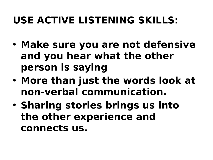## **USE ACTIVE LISTENING SKILLS:**

- **Make sure you are not defensive and you hear what the other person is saying**
- **More than just the words look at non-verbal communication.**
- **Sharing stories brings us into the other experience and connects us.**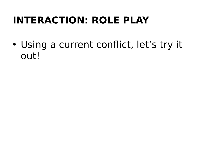### **INTERACTION: ROLE PLAY**

• Using a current conflict, let's try it out!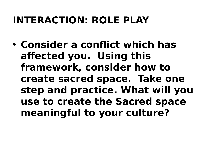### **INTERACTION: ROLE PLAY**

• **Consider a conflict which has affected you. Using this framework, consider how to create sacred space. Take one step and practice. What will you use to create the Sacred space meaningful to your culture?**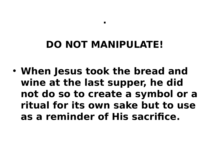### **DO NOT MANIPULATE!**

**.** 

• **When Jesus took the bread and wine at the last supper, he did not do so to create a symbol or a ritual for its own sake but to use as a reminder of His sacrifice.**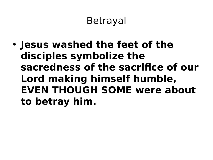### Betrayal

• **Jesus washed the feet of the disciples symbolize the sacredness of the sacrifice of our Lord making himself humble, EVEN THOUGH SOME were about to betray him.**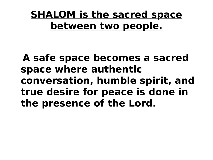### **SHALOM is the sacred space between two people.**

 **A safe space becomes a sacred space where authentic conversation, humble spirit, and true desire for peace is done in the presence of the Lord.**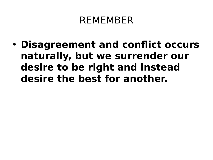#### REMEMBER

• **Disagreement and conflict occurs naturally, but we surrender our desire to be right and instead desire the best for another.**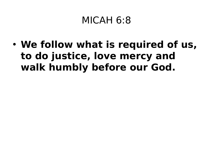### MICAH 6:8

• **We follow what is required of us, to do justice, love mercy and walk humbly before our God.**